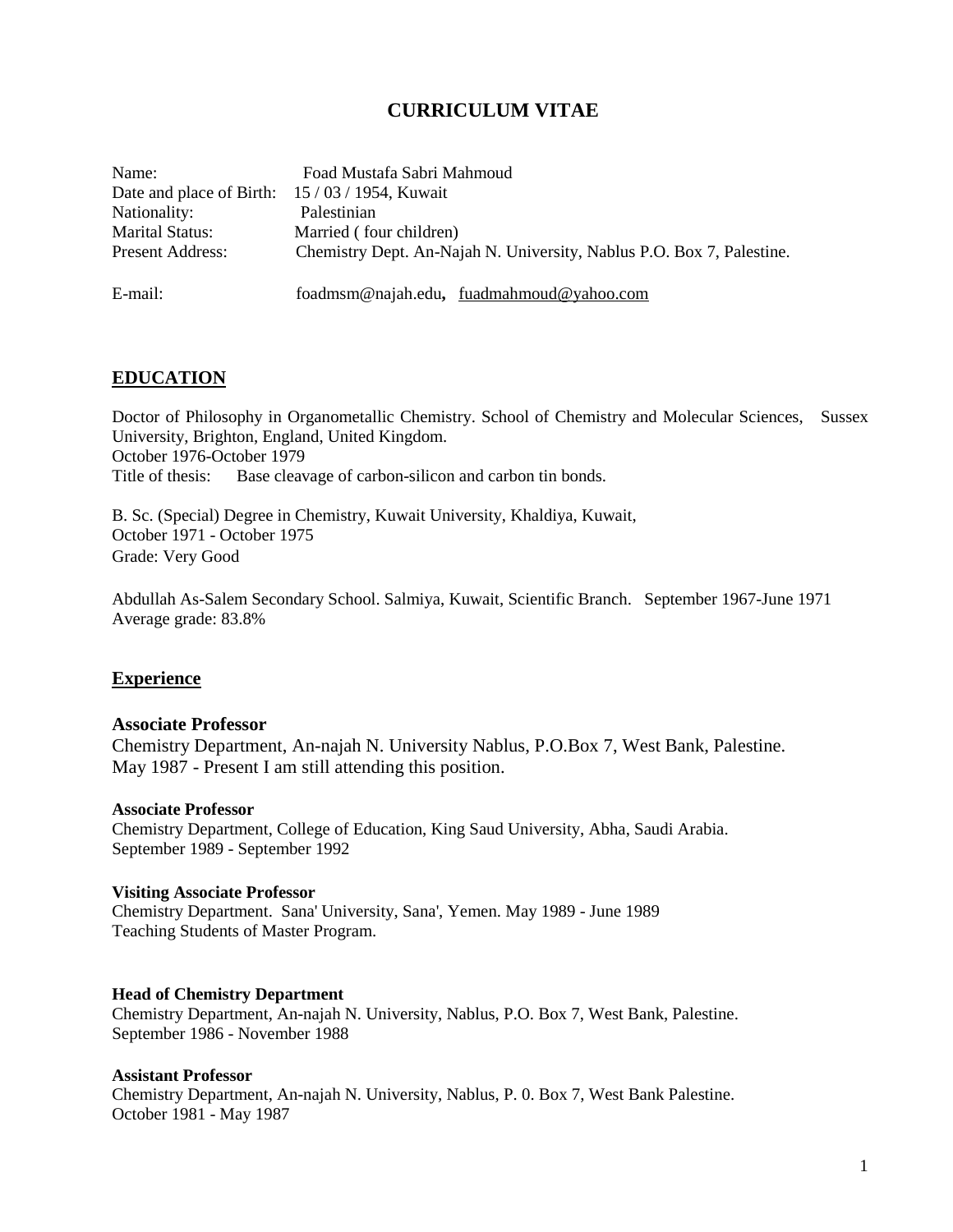## **CURRICULUM VITAE**

| Name:                                          | Foad Mustafa Sabri Mahmoud                                            |  |  |
|------------------------------------------------|-----------------------------------------------------------------------|--|--|
| Date and place of Birth: $15/03/1954$ , Kuwait |                                                                       |  |  |
| Nationality:                                   | Palestinian                                                           |  |  |
| <b>Marital Status:</b>                         | Married (four children)                                               |  |  |
| <b>Present Address:</b>                        | Chemistry Dept. An-Najah N. University, Nablus P.O. Box 7, Palestine. |  |  |
|                                                |                                                                       |  |  |
| E-mail:                                        | foadmsm@najah.edu, fuadmahmoud@yahoo.com                              |  |  |

## **EDUCATION**

Doctor of Philosophy in Organometallic Chemistry. School of Chemistry and Molecular Sciences, Sussex University, Brighton, England, United Kingdom. October 1976-October 1979 Title of thesis: Base cleavage of carbon-silicon and carbon tin bonds.

B. Sc. (Special) Degree in Chemistry, Kuwait University, Khaldiya, Kuwait, October 1971 - October 1975 Grade: Very Good

Abdullah As-Salem Secondary School. Salmiya, Kuwait, Scientific Branch. September 1967-June 1971 Average grade: 83.8%

## **Experience**

#### **Associate Professor**

Chemistry Department, An-najah N. University Nablus, P.O.Box 7, West Bank, Palestine. May 1987 - Present I am still attending this position.

#### **Associate Professor**

Chemistry Department, College of Education, King Saud University, Abha, Saudi Arabia. September 1989 - September 1992

#### **Visiting Associate Professor**

Chemistry Department. Sana' University, Sana', Yemen. May 1989 - June 1989 Teaching Students of Master Program.

#### **Head of Chemistry Department**

Chemistry Department, An-najah N. University, Nablus, P.O. Box 7, West Bank, Palestine. September 1986 - November 1988

#### **Assistant Professor**

Chemistry Department, An-najah N. University, Nablus, P. 0. Box 7, West Bank Palestine. October 1981 - May 1987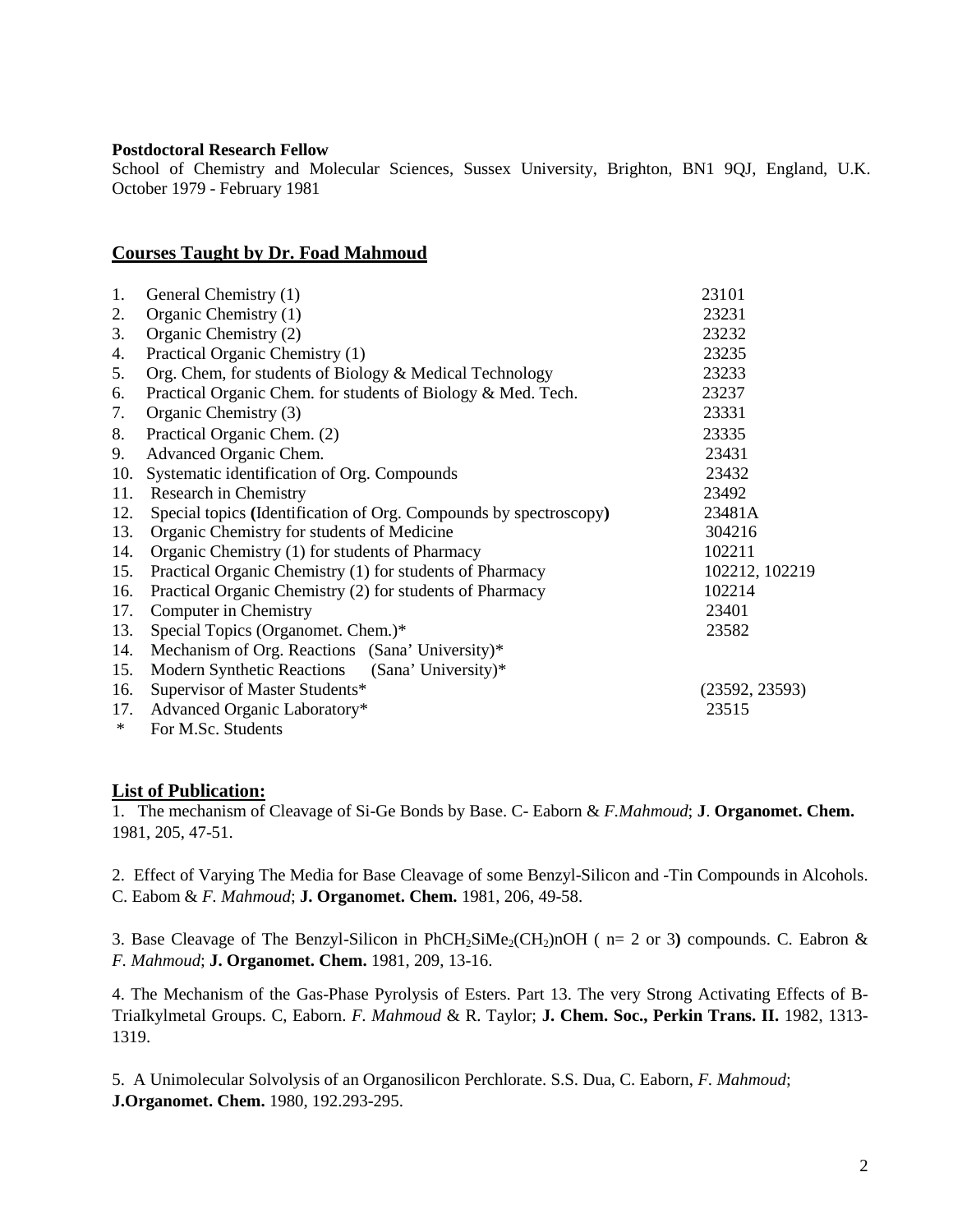### **Postdoctoral Research Fellow**

School of Chemistry and Molecular Sciences, Sussex University, Brighton, BN1 9QJ, England, U.K. October 1979 - February 1981

## **Courses Taught by Dr. Foad Mahmoud**

| 1.  | General Chemistry (1)                                             | 23101          |
|-----|-------------------------------------------------------------------|----------------|
| 2.  | Organic Chemistry (1)                                             | 23231          |
| 3.  | Organic Chemistry (2)                                             | 23232          |
| 4.  | Practical Organic Chemistry (1)                                   | 23235          |
| 5.  | Org. Chem, for students of Biology & Medical Technology           | 23233          |
| 6.  | Practical Organic Chem. for students of Biology & Med. Tech.      | 23237          |
| 7.  | Organic Chemistry (3)                                             | 23331          |
| 8.  | Practical Organic Chem. (2)                                       | 23335          |
| 9.  | Advanced Organic Chem.                                            | 23431          |
| 10. | Systematic identification of Org. Compounds                       | 23432          |
| 11. | Research in Chemistry                                             | 23492          |
| 12. | Special topics (Identification of Org. Compounds by spectroscopy) | 23481A         |
| 13. | Organic Chemistry for students of Medicine                        | 304216         |
| 14. | Organic Chemistry (1) for students of Pharmacy                    | 102211         |
| 15. | Practical Organic Chemistry (1) for students of Pharmacy          | 102212, 102219 |
| 16. | Practical Organic Chemistry (2) for students of Pharmacy          | 102214         |
| 17. | Computer in Chemistry                                             | 23401          |
| 13. | Special Topics (Organomet. Chem.)*                                | 23582          |
| 14. | Mechanism of Org. Reactions (Sana' University)*                   |                |
| 15. | Modern Synthetic Reactions (Sana' University)*                    |                |
| 16. | Supervisor of Master Students*                                    | (23592, 23593) |
| 17. | Advanced Organic Laboratory*                                      | 23515          |
| ∗   | For M.Sc. Students                                                |                |

# **List of Publication:**

1. The mechanism of Cleavage of Si-Ge Bonds by Base. C- Eaborn & *F.Mahmoud*; **J**. **Organomet. Chem.** 1981, 205, 47-51.

2. Effect of Varying The Media for Base Cleavage of some Benzyl-Silicon and -Tin Compounds in Alcohols. C. Eabom & *F. Mahmoud*; **J. Organomet. Chem.** 1981, 206, 49-58.

3. Base Cleavage of The Benzyl-Silicon in  $PhCH_2SiMe<sub>2</sub>(CH_2)nOH$  ( $n= 2$  or 3) compounds. C. Eabron & *F. Mahmoud*; **J. Organomet. Chem.** 1981, 209, 13-16.

4. The Mechanism of the Gas-Phase Pyrolysis of Esters. Part 13. The very Strong Activating Effects of B- TriaIkylmetal Groups. C, Eaborn. *F. Mahmoud* & R. Taylor; **J. Chem. Soc., Perkin Trans. II.** 1982, 1313- 1319.

5. A Unimolecular Solvolysis of an Organosilicon Perchlorate. S.S. Dua, C. Eaborn, *F. Mahmoud*; **J.Organomet. Chem.** 1980, 192.293-295.